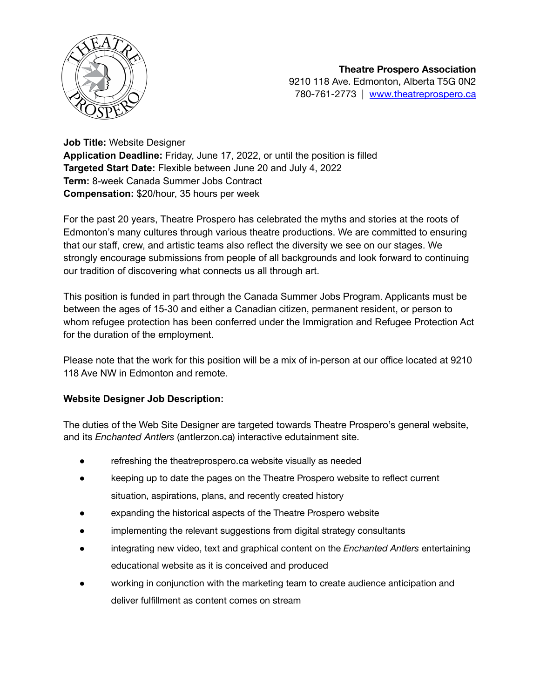

**Job Title:** Website Designer **Application Deadline:** Friday, June 17, 2022, or until the position is filled **Targeted Start Date:** Flexible between June 20 and July 4, 2022 **Term:** 8-week Canada Summer Jobs Contract **Compensation:** \$20/hour, 35 hours per week

For the past 20 years, Theatre Prospero has celebrated the myths and stories at the roots of Edmonton's many cultures through various theatre productions. We are committed to ensuring that our staff, crew, and artistic teams also reflect the diversity we see on our stages. We strongly encourage submissions from people of all backgrounds and look forward to continuing our tradition of discovering what connects us all through art.

This position is funded in part through the Canada Summer Jobs Program. Applicants must be between the ages of 15-30 and either a Canadian citizen, permanent resident, or person to whom refugee protection has been conferred under the Immigration and Refugee Protection Act for the duration of the employment.

Please note that the work for this position will be a mix of in-person at our office located at 9210 118 Ave NW in Edmonton and remote.

## **Website Designer Job Description:**

The duties of the Web Site Designer are targeted towards Theatre Prospero's general website, and its *Enchanted Antlers* (antlerzon.ca) interactive edutainment site.

- refreshing the theatreprospero.ca website visually as needed
- keeping up to date the pages on the Theatre Prospero website to reflect current situation, aspirations, plans, and recently created history
- expanding the historical aspects of the Theatre Prospero website
- implementing the relevant suggestions from digital strategy consultants
- integrating new video, text and graphical content on the *Enchanted Antlers* entertaining educational website as it is conceived and produced
- working in conjunction with the marketing team to create audience anticipation and deliver fulfillment as content comes on stream